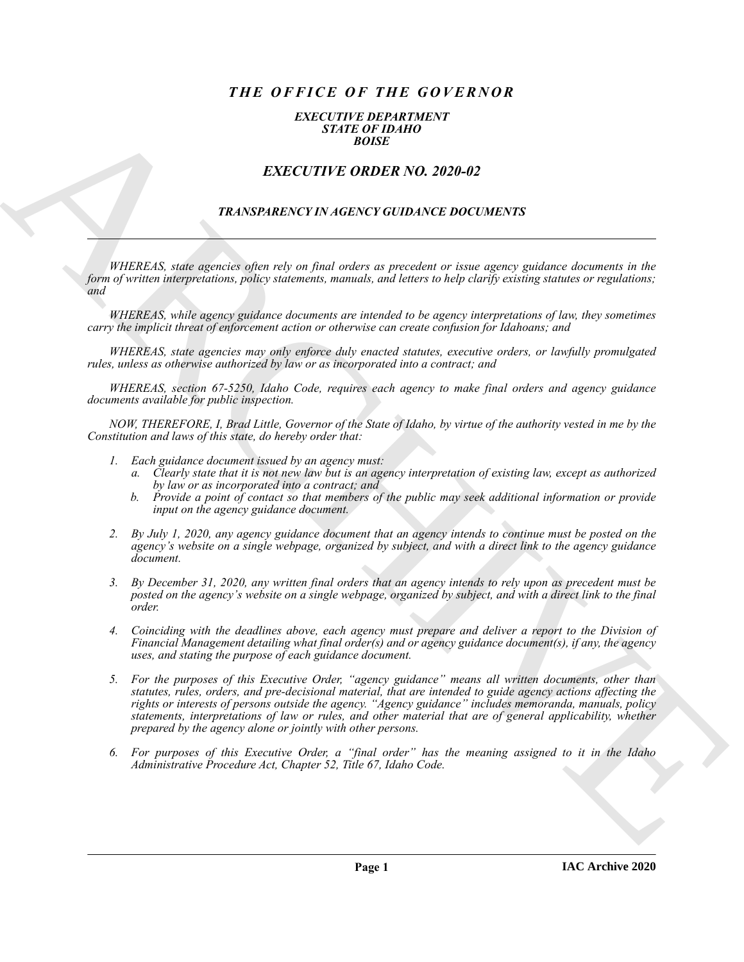# *THE OFFICE OF THE GOVERNOR*

#### *EXECUTIVE DEPARTMENT STATE OF IDAHO BOISE*

## *EXECUTIVE ORDER NO. 2020-02*

## *TRANSPARENCY IN AGENCY GUIDANCE DOCUMENTS*

*WHEREAS, state agencies often rely on final orders as precedent or issue agency guidance documents in the form of written interpretations, policy statements, manuals, and letters to help clarify existing statutes or regulations; and* 

*WHEREAS, while agency guidance documents are intended to be agency interpretations of law, they sometimes carry the implicit threat of enforcement action or otherwise can create confusion for Idahoans; and* 

*WHEREAS, state agencies may only enforce duly enacted statutes, executive orders, or lawfully promulgated rules, unless as otherwise authorized by law or as incorporated into a contract; and* 

*WHEREAS, section 67-5250, Idaho Code, requires each agency to make final orders and agency guidance documents available for public inspection.* 

*NOW, THEREFORE, I, Brad Little, Governor of the State of Idaho, by virtue of the authority vested in me by the Constitution and laws of this state, do hereby order that:* 

- *1. Each guidance document issued by an agency must:* 
	- *a. Clearly state that it is not new law but is an agency interpretation of existing law, except as authorized by law or as incorporated into a contract; and*
	- *b. Provide a point of contact so that members of the public may seek additional information or provide input on the agency guidance document.*
- *2. By July 1, 2020, any agency guidance document that an agency intends to continue must be posted on the agency's website on a single webpage, organized by subject, and with a direct link to the agency guidance document.*
- *3. By December 31, 2020, any written final orders that an agency intends to rely upon as precedent must be posted on the agency's website on a single webpage, organized by subject, and with a direct link to the final order.*
- *4. Coinciding with the deadlines above, each agency must prepare and deliver a report to the Division of Financial Management detailing what final order(s) and or agency guidance document(s), if any, the agency uses, and stating the purpose of each guidance document.*
- **EXACTLY THE ORDER NO. 2020-02**<br> **EXACTLY THE ORDER NO. 2020-02**<br> **EXACTLY THE ORDER NO. 2020-02**<br> **EXACTLY THE ORDER NO. 2020-02**<br> **THEORETIC INTERPRETAINT CONFIDENCE INTERPRETAINMENT CONTINUES INTO A CONFIDENT CONFIDENT** *5. For the purposes of this Executive Order, "agency guidance" means all written documents, other than statutes, rules, orders, and pre-decisional material, that are intended to guide agency actions affecting the rights or interests of persons outside the agency. "Agency guidance" includes memoranda, manuals, policy statements, interpretations of law or rules, and other material that are of general applicability, whether prepared by the agency alone or jointly with other persons.* 
	- *6. For purposes of this Executive Order, a "final order" has the meaning assigned to it in the Idaho Administrative Procedure Act, Chapter 52, Title 67, Idaho Code.*